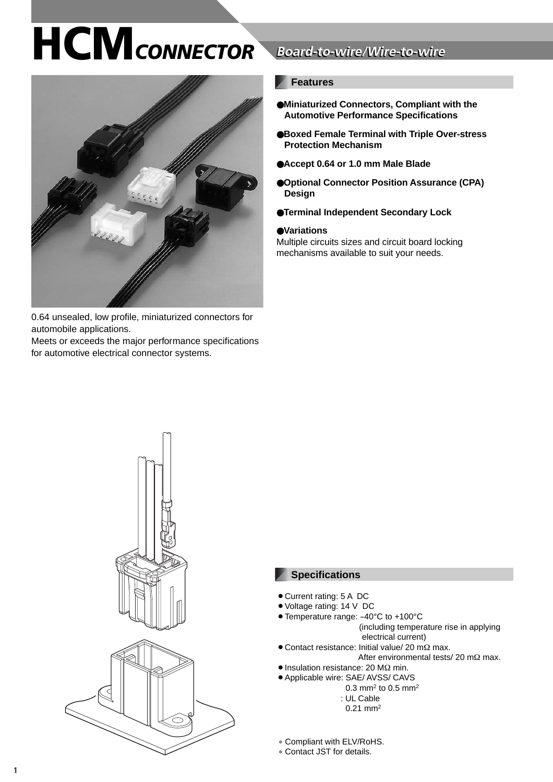

0.64 unsealed, low profile, miniaturized connectors for automobile applications.

Meets or exceeds the major performance specifications for automotive electrical connector systems.

## **Board-to-wire/Wire-to-wire**

### **Features**

- ●**Miniaturized Connectors, Compliant with the Automotive Performance Specifications**
- ●**Boxed Female Terminal with Triple Over-stress Protection Mechanism**
- ●**Accept 0.64 or 1.0 mm Male Blade**
- ●**Optional Connector Position Assurance (CPA) Design**
- ●**Terminal Independent Secondary Lock**

#### ●**Variations**

Multiple circuits sizes and circuit board locking mechanisms available to suit your needs.



#### **Specifications**

- Current rating: 5 A DC
- Voltage rating: 14 V DC
- Temperature range: -40°C to +100°C
	- (including temperature rise in applying electrical current)
- Contact resistance: Initial value/ 20 mΩ max.
	- After environmental tests/ 20 mΩ max.
- $\bullet$  Insulation resistance: 20 M $\Omega$  min.
- Applicable wire: SAE/ AVSS/ CAVS 0.3 mm<sup>2</sup> to 0.5 mm<sup>2</sup>
	- : UL Cable
	- 0.21 mm2

∗ Compliant with ELV/RoHS.

∗ Contact JST for details.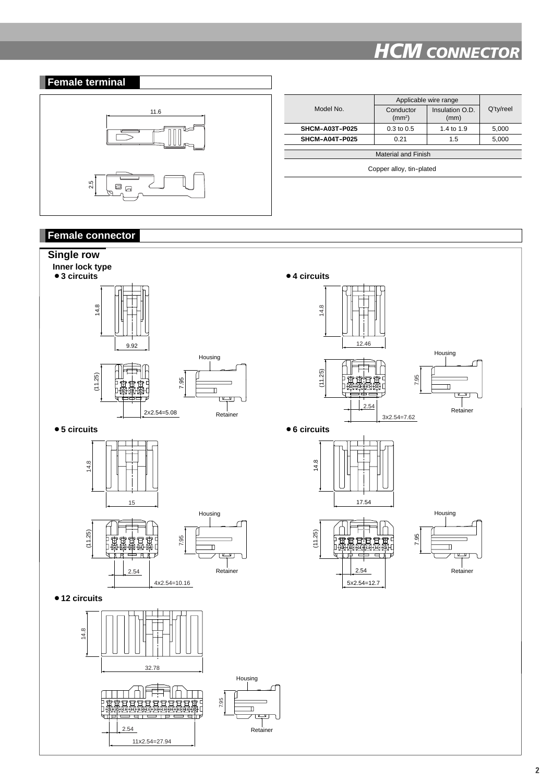



|                          | Applicable wire range           |                         |           |  |  |
|--------------------------|---------------------------------|-------------------------|-----------|--|--|
| Model No.                | Conductor<br>(mm <sup>2</sup> ) | Insulation O.D.<br>(mm) | Q'ty/reel |  |  |
| SHCM-A03T-P025           | $0.3 \text{ to } 0.5$           | 1.4 to 1.9              | 5,000     |  |  |
| SHCM-A04T-P025           | 0.21                            | 1.5                     | 5,000     |  |  |
|                          |                                 |                         |           |  |  |
| Material and Finish      |                                 |                         |           |  |  |
| Copper alloy, tin-plated |                                 |                         |           |  |  |
|                          |                                 |                         |           |  |  |

### **Female connector**

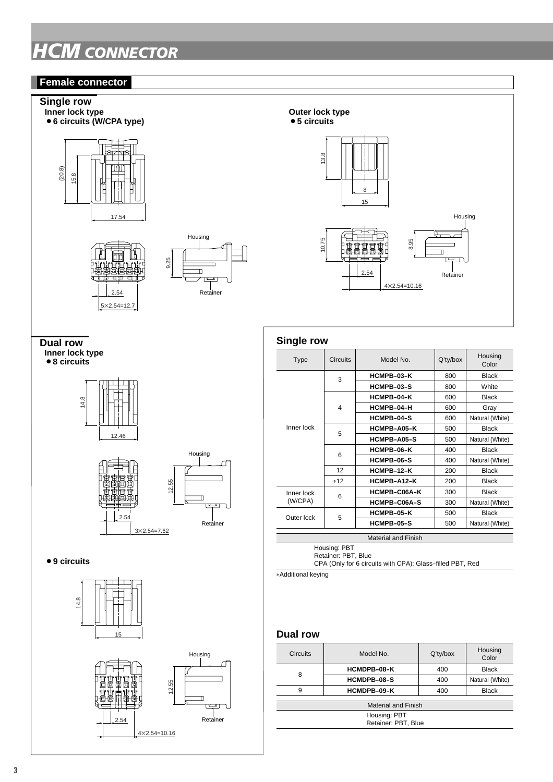#### **Female connector**

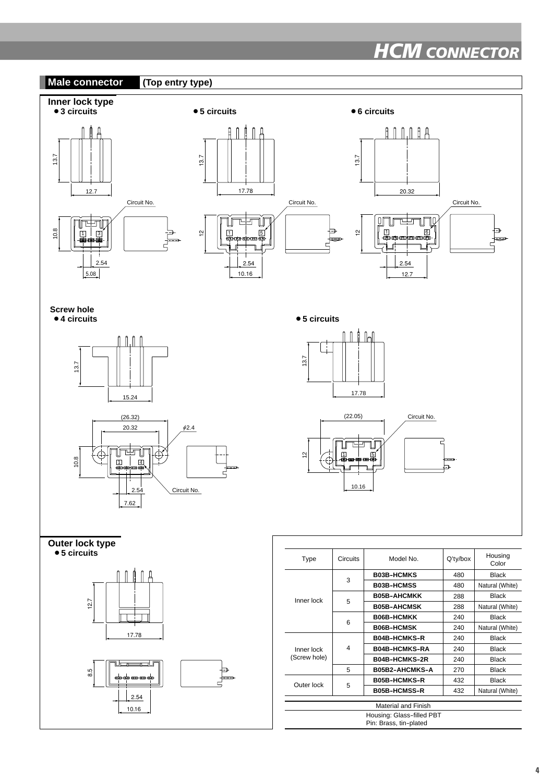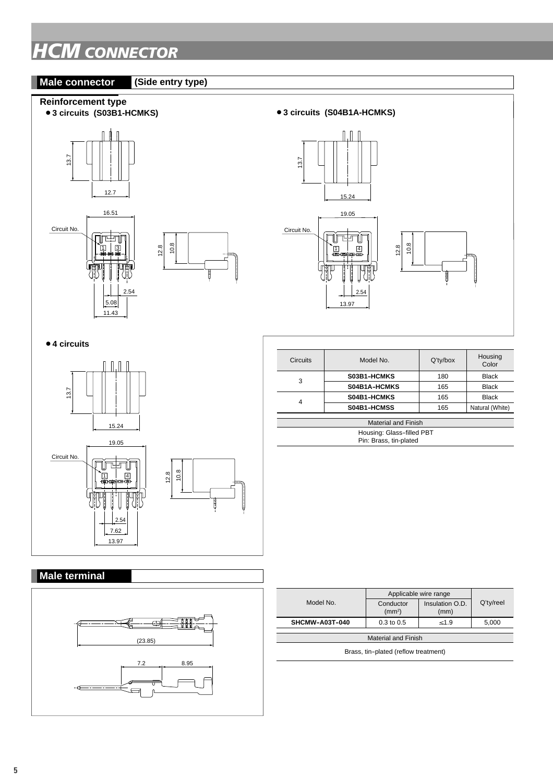#### **Male connector (Side entry type)**



## ¡**3 circuits (S04B1A-HCMKS)**   $\mathbb{L}$ 13.7 15.24 19.05 Circuit No. Úr‡ní 12.8 10.8 ゚<u>ก</u> | 44<br><del>100000000000</del> 2.54 13.97



#### 3 4 **Black** Black Black Natural (White) Housing Color 180 165 165 165 Circuits | Model No. | Q'ty/box **S03B1-HCMKS S04B1A-HCMKS S04B1-HCMKS S04B1-HCMSS**  Material and Finish Housing: Glass-filled PBT Pin: Brass, tin-plated

## **Male terminal**



|                                      | Applicable wire range           |                         |           |  |  |  |
|--------------------------------------|---------------------------------|-------------------------|-----------|--|--|--|
| Model No                             | Conductor<br>(mm <sup>2</sup> ) | Insulation O.D.<br>(mm) | Q'ty/reel |  |  |  |
| SHCMW-A03T-040                       | $0.3 \text{ to } 0.5$           | $\leq 1.9$              | 5,000     |  |  |  |
|                                      |                                 |                         |           |  |  |  |
| <b>Material and Finish</b>           |                                 |                         |           |  |  |  |
| Brass, tin-plated (reflow treatment) |                                 |                         |           |  |  |  |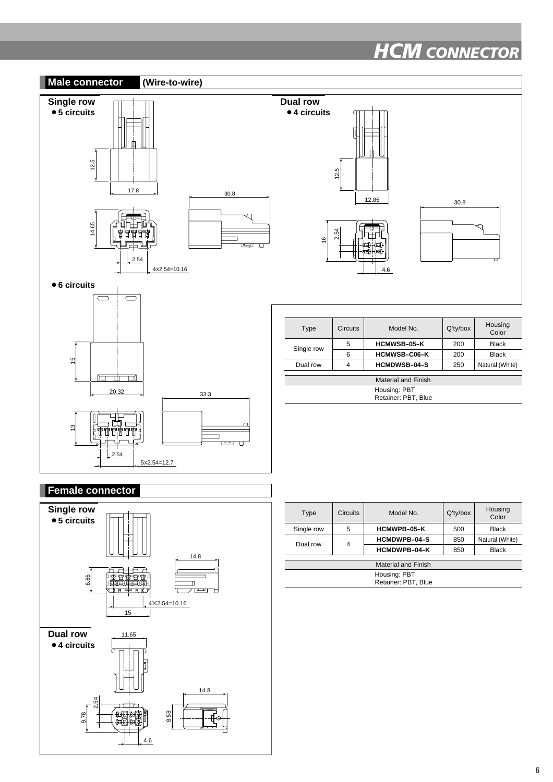